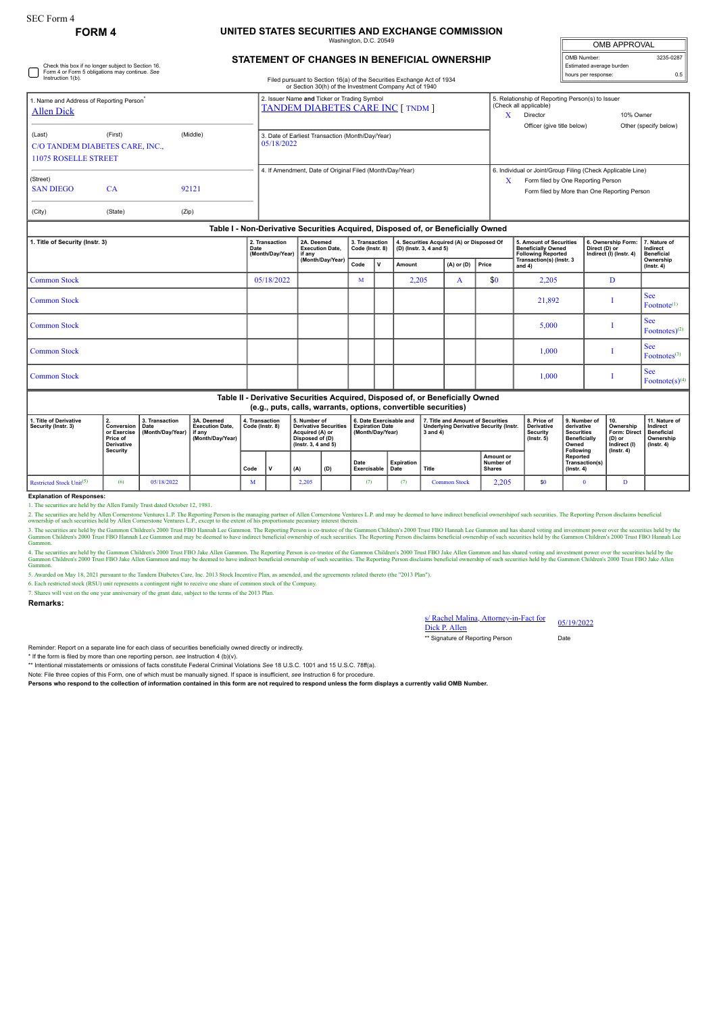Check this box if no longer subject to Section 16. Form 4 or Form 5 obligations may continue. *See* Instruction 1(b).

## **FORM 4 UNITED STATES SECURITIES AND EXCHANGE COMMISSION**

hatı

| <b>OMB APPROVAL</b>      |           |  |  |  |  |  |  |  |
|--------------------------|-----------|--|--|--|--|--|--|--|
| OMB Number:              | 3235-0287 |  |  |  |  |  |  |  |
| Estimated average burden |           |  |  |  |  |  |  |  |
| hours per response:      | 0.5       |  |  |  |  |  |  |  |

## **STATEMENT OF CHANGES IN BENEFICIAL OWNERSHIP**

Filed pursuant to Section 16(a) of the Securities Exchange Act of 1934

|                                                                        |                                                                                  |            |            | or Section 30(h) of the Investment Company Act of 1940                                  |  |                         |                                                                                                                                                            |                                                                                                                                                   |  |  |  |  |
|------------------------------------------------------------------------|----------------------------------------------------------------------------------|------------|------------|-----------------------------------------------------------------------------------------|--|-------------------------|------------------------------------------------------------------------------------------------------------------------------------------------------------|---------------------------------------------------------------------------------------------------------------------------------------------------|--|--|--|--|
| Name and Address of Reporting Person <sup>*</sup><br><b>Allen Dick</b> |                                                                                  |            |            | 2. Issuer Name and Ticker or Trading Symbol<br><b>TANDEM DIABETES CARE INC [ TNDM ]</b> |  |                         | 5. Relationship of Reporting Person(s) to Issuer<br>(Check all applicable)<br>10% Owner<br>Director<br>Officer (give title below)<br>Other (specify below) |                                                                                                                                                   |  |  |  |  |
| (Last)<br><b>11075 ROSELLE STREET</b>                                  | (First)<br>C/O TANDEM DIABETES CARE, INC.,                                       | (Middle)   | 05/18/2022 | 3. Date of Earliest Transaction (Month/Day/Year)                                        |  |                         |                                                                                                                                                            |                                                                                                                                                   |  |  |  |  |
| (Street)<br><b>SAN DIEGO</b>                                           | CA                                                                               | 92121      |            | 4. If Amendment, Date of Original Filed (Month/Day/Year)                                |  |                         | X                                                                                                                                                          | 6. Individual or Joint/Group Filing (Check Applicable Line)<br>Form filed by One Reporting Person<br>Form filed by More than One Reporting Person |  |  |  |  |
| (City)                                                                 | (State)                                                                          | (Zip)      |            |                                                                                         |  |                         |                                                                                                                                                            |                                                                                                                                                   |  |  |  |  |
|                                                                        | Table I - Non-Derivative Securities Acquired, Disposed of, or Beneficially Owned |            |            |                                                                                         |  |                         |                                                                                                                                                            |                                                                                                                                                   |  |  |  |  |
| 1. Title of Security (Instr. 3)                                        | 2. Transaction                                                                   | 2A. Deemed |            | 3. Transaction   4. Securities Acquired (A) or Disposed Of                              |  | 5. Amount of Securities | 6. Ownership Form: 7. Nature of                                                                                                                            |                                                                                                                                                   |  |  |  |  |

|                     | Date<br>(Month/Day/Year) | <b>Execution Date,</b><br>l if any | --------------<br>Code (Instr. 8) |  | (D) (Instr. 3, 4 and 5) |                |              | <b>Beneficially Owned</b><br><b>Following Reported</b> | Direct (D) or<br>Indirect (I) (Instr. 4) | Indirect<br><b>Beneficial</b>        |  |
|---------------------|--------------------------|------------------------------------|-----------------------------------|--|-------------------------|----------------|--------------|--------------------------------------------------------|------------------------------------------|--------------------------------------|--|
|                     |                          | (Month/Day/Year)                   | Code<br>۱v                        |  | Amount                  | $(A)$ or $(D)$ | <b>Price</b> | Transaction(s) (Instr. 3<br>and $4)$                   |                                          | Ownership<br>$($ lnstr. 4 $)$        |  |
| <b>Common Stock</b> | 05/18/2022               |                                    | M                                 |  | 2,205                   | A              | \$0          | 2,205                                                  | D                                        |                                      |  |
| <b>Common Stock</b> |                          |                                    |                                   |  |                         |                |              | 21,892                                                 |                                          | <b>See</b><br>Fotnote <sup>(1)</sup> |  |
| Common Stock        |                          |                                    |                                   |  |                         |                |              | 5,000                                                  |                                          | <b>See</b><br>Footnotes $)^{(2)}$    |  |
| Common Stock        |                          |                                    |                                   |  |                         |                |              | 1,000                                                  |                                          | <b>See</b><br>Footnotes $(3)$        |  |
| <b>Common Stock</b> |                          |                                    |                                   |  |                         |                |              | 1,000                                                  |                                          | <b>See</b><br>Footnote(s) $(4)$      |  |
|                     | _ _                      | .                                  |                                   |  | .                       |                |              |                                                        |                                          |                                      |  |

## **Table II - Derivative Securities Acquired, Disposed of, or Beneficially Owned (e.g., puts, calls, warrants, options, convertible securities)**

| I. Title of Derivative<br>Security (Instr. 3) | <b>E.</b><br>Conversion   Date<br>or Exercise<br><b>Price of</b><br>Derivative<br>Security | 3. Transaction<br>(Month/Dav/Year) | 3A. Deemed<br><b>Execution Date.</b><br>if anv<br>(Month/Dav/Year) | 4. Transaction<br>Code (Instr. 8) | 5. Number of<br><b>Derivative Securities</b><br>Acquired (A) or<br>Disposed of (D)<br>$($ lnstr. 3. 4 and 5 $)$ |     | 6. Date Exercisable and<br>Expiration Date<br>(Month/Day/Year) |                    | 7. Title and Amount of Securities<br><b>Underlying Derivative Security (Instr.</b><br>3 and 4) |                                         | 8. Price of<br>Derivative<br>Security<br>$($ lnstr $, 5)$ | 9. Number of<br>derivative<br>Securities<br><b>Beneficially</b><br>Owned | Ownership<br><b>Form: Direct</b><br>(D) or<br>Indirect (I) | 11. Nature of<br>Indirect<br>Beneficial<br>Ownership<br>$($ lnstr. 4 $)$ |
|-----------------------------------------------|--------------------------------------------------------------------------------------------|------------------------------------|--------------------------------------------------------------------|-----------------------------------|-----------------------------------------------------------------------------------------------------------------|-----|----------------------------------------------------------------|--------------------|------------------------------------------------------------------------------------------------|-----------------------------------------|-----------------------------------------------------------|--------------------------------------------------------------------------|------------------------------------------------------------|--------------------------------------------------------------------------|
|                                               |                                                                                            |                                    |                                                                    | Code                              | (A)                                                                                                             | (D) | Date<br>Exercisable                                            | Expiration<br>Date | Title                                                                                          | Amount or<br>Number of<br><b>Shares</b> |                                                           | Following<br>Reported<br>Transaction(s)<br>(Instr. 4)                    | $($ lnstr. 4 $)$                                           |                                                                          |
| Restricted Stock Unit(5)                      |                                                                                            | 05/18/2022                         |                                                                    |                                   | 2,205                                                                                                           |     |                                                                |                    | <b>Common Stock</b>                                                                            | 2,205                                   | \$0                                                       |                                                                          | D                                                          |                                                                          |

**Explanation of Responses:**

1. The securities are held by the Allen Family Trust dated October 12, 1981.

2. The securities are held by Allen Cornerstone Ventures L.P., excepting Person is the managing partner of Allen Cornerstone Ventures L.P. and may be deemed to have indirect beneficial ownershipof such securities. The Repo

3. The securities are held by the Gammon Children's 2000 Trust FBO Hannah Lee Gammon. The Reporting Person is co-trustee of the Gammon Children's 2000 Trust FBO Hannah Lee Gammon and has shared voting and investment power

4. The securities are held by the Gammo Children's 2000 Trust FBO Jake Allen Gammon. The Reporting Person is oc-trustee of the Gammon Zhidren's 2000 a Tust FBO Jake Allen Gammon and has bare allen Same Allen Gammon Childre Gammon.

5. Awarded on May 18, 2021 pursuant to the Tandem Diabetes Care, Inc. 2013 Stock Incentive Plan, as amended, and the agreements related thereto (the "2013 Plan").

6. Each restricted stock (RSU) unit represents a contingent right to receive one share of common stock of the Company.

7. Shares will vest on the one year anniversary of the grant date, subject to the terms of the 2013 Plan.

**Remarks:**

Rachel Malina, Attorney-in-Fact for s/ Rachel Malina, Attorney-in-Fact for 05/19/2022<br>Dick P. Allen

\*\* Signature of Reporting Person Date

Reminder: Report on a separate line for each class of securities beneficially owned directly or indirectly. \* If the form is filed by more than one reporting person, *see* Instruction 4 (b)(v).

\*\* Intentional misstatements or omissions of facts constitute Federal Criminal Violations *See* 18 U.S.C. 1001 and 15 U.S.C. 78ff(a).

Note: File three copies of this Form, one of which must be manually signed. If space is insufficient, *see* Instruction 6 for procedure.

**Persons who respond to the collection of information contained in this form are not required to respond unless the form displays a currently valid OMB Number.**